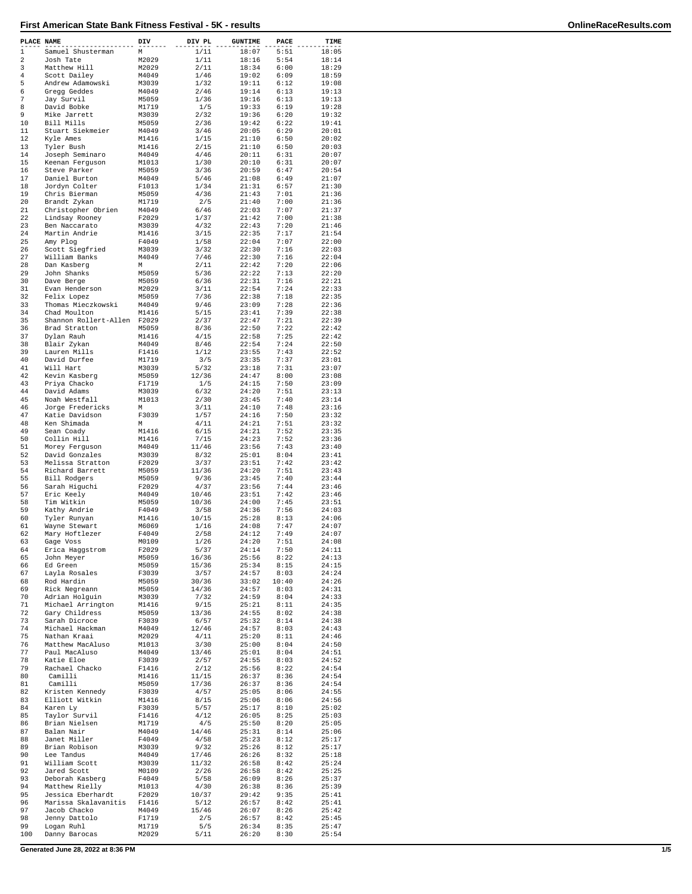| PLACE NAME  |                                      | DIV            | DIV PL         | <b>GUNTIME</b> | PACE          | TIME           |
|-------------|--------------------------------------|----------------|----------------|----------------|---------------|----------------|
| $\mathbf 1$ | Samuel Shusterman                    | М              | 1/11           | 18:07          | 5:51          | 18:05          |
| 2           | Josh Tate                            | M2029          | 1/11           | 18:16          | 5:54          | 18:14          |
| 3<br>4      | Matthew Hill<br>Scott Dailey         | M2029<br>M4049 | 2/11<br>1/46   | 18:34<br>19:02 | 6:00<br>6:09  | 18:29<br>18:59 |
| 5           | Andrew Adamowski                     | M3039          | 1/32           | 19:11          | 6:12          | 19:08          |
| 6           | Gregg Geddes                         | M4049          | 2/46           | 19:14          | 6:13          | 19:13          |
| 7           | Jay Survil                           | M5059          | 1/36           | 19:16          | 6:13          | 19:13          |
| 8           | David Bobke                          | M1719          | 1/5            | 19:33          | 6:19          | 19:28          |
| 9<br>10     | Mike Jarrett<br>Bill Mills           | M3039<br>M5059 | 2/32<br>2/36   | 19:36<br>19:42 | 6:20<br>6:22  | 19:32<br>19:41 |
| 11          | Stuart Siekmeier                     | M4049          | 3/46           | 20:05          | 6:29          | 20:01          |
| 12          | Kyle Ames                            | M1416          | 1/15           | 21:10          | 6:50          | 20:02          |
| 13          | Tyler Bush                           | M1416          | 2/15           | 21:10          | 6:50          | 20:03          |
| 14<br>15    | Joseph Seminaro<br>Keenan Ferquson   | M4049<br>M1013 | 4/46<br>1/30   | 20:11<br>20:10 | 6:31<br>6:31  | 20:07<br>20:07 |
| 16          | Steve Parker                         | M5059          | 3/36           | 20:59          | 6:47          | 20:54          |
| 17          | Daniel Burton                        | M4049          | 5/46           | 21:08          | 6:49          | 21:07          |
| 18          | Jordyn Colter                        | F1013          | 1/34           | 21:31          | 6:57          | 21:30          |
| 19          | Chris Bierman                        | M5059          | 4/36           | 21:43          | 7:01          | 21:36          |
| 20<br>21    | Brandt Zykan                         | M1719<br>M4049 | 2/5<br>6/46    | 21:40<br>22:03 | 7:00<br>7:07  | 21:36<br>21:37 |
| 22          | Christopher Obrien<br>Lindsay Rooney | F2029          | 1/37           | 21:42          | 7:00          | 21:38          |
| 23          | Ben Naccarato                        | M3039          | 4/32           | 22:43          | 7:20          | 21:46          |
| 24          | Martin Andrie                        | M1416          | 3/15           | 22:35          | 7:17          | 21:54          |
| 25          | Amy Plog                             | F4049          | 1/58           | 22:04          | 7:07          | 22:00          |
| 26<br>27    | Scott Siegfried<br>William Banks     | M3039<br>M4049 | 3/32<br>7/46   | 22:30<br>22:30 | 7:16<br>7:16  | 22:03<br>22:04 |
| 28          | Dan Kasberg                          | М              | 2/11           | 22:42          | 7:20          | 22:06          |
| 29          | John Shanks                          | M5059          | 5/36           | 22:22          | 7:13          | 22:20          |
| 30          | Dave Berge                           | M5059          | 6/36           | 22:31          | 7:16          | 22:21          |
| 31          | Evan Henderson                       | M2029          | 3/11<br>7/36   | 22:54          | 7:24          | 22:33          |
| 32<br>33    | Felix Lopez<br>Thomas Mieczkowski    | M5059<br>M4049 | 9/46           | 22:38<br>23:09 | 7:18<br>7:28  | 22:35<br>22:36 |
| 34          | Chad Moulton                         | M1416          | 5/15           | 23:41          | 7:39          | 22:38          |
| 35          | Shannon Rollert-Allen                | F2029          | 2/37           | 22:47          | 7:21          | 22:39          |
| 36          | Brad Stratton                        | M5059          | 8/36           | 22:50          | 7:22          | 22:42          |
| 37<br>38    | Dylan Rauh                           | M1416          | 4/15           | 22:58          | 7:25          | 22:42<br>22:50 |
| 39          | Blair Zykan<br>Lauren Mills          | M4049<br>F1416 | 8/46<br>1/12   | 22:54<br>23:55 | 7:24<br>7:43  | 22:52          |
| 40          | David Durfee                         | M1719          | 3/5            | 23:35          | 7:37          | 23:01          |
| 41          | Will Hart                            | M3039          | 5/32           | 23:18          | 7:31          | 23:07          |
| 42          | Kevin Kasberg                        | M5059          | 12/36          | 24:47          | 8:00          | 23:08          |
| 43<br>44    | Priya Chacko                         | F1719          | 1/5            | 24:15          | 7:50          | 23:09          |
| 45          | David Adams<br>Noah Westfall         | M3039<br>M1013 | 6/32<br>2/30   | 24:20<br>23:45 | 7:51<br>7:40  | 23:13<br>23:14 |
| 46          | Jorge Fredericks                     | М              | 3/11           | 24:10          | 7:48          | 23:16          |
| 47          | Katie Davidson                       | F3039          | 1/57           | 24:16          | 7:50          | 23:32          |
| 48          | Ken Shimada                          | М              | 4/11           | 24:21          | 7:51          | 23:32          |
| 49<br>50    | Sean Coady                           | M1416<br>M1416 | 6/15           | 24:21<br>24:23 | 7:52<br>7:52  | 23:35<br>23:36 |
| 51          | Collin Hill<br>Morey Ferguson        | M4049          | 7/15<br>11/46  | 23:56          | 7:43          | 23:40          |
| 52          | David Gonzales                       | M3039          | 8/32           | 25:01          | 8:04          | 23:41          |
| 53          | Melissa Stratton                     | F2029          | 3/37           | 23:51          | 7:42          | 23:42          |
| 54          | Richard Barrett                      | M5059          | 11/36          | 24:20          | 7:51          | 23:43          |
| 55<br>56    | Bill Rodgers                         | M5059<br>F2029 | 9/36           | 23:45          | 7:40<br>7:44  | 23:44<br>23:46 |
| 57          | Sarah Higuchi<br>Eric Keely          | M4049          | 4/37<br>10/46  | 23:56<br>23:51 | 7:42          | 23:46          |
| 58          | Tim Witkin                           | M5059          | 10/36          | 24:00          | 7:45          | 23:51          |
| 59          | Kathy Andrie                         | F4049          | 3/58           | 24:36          | 7:56          | 24:03          |
| 60          | Tyler Runyan                         | M1416          | 10/15          | 25:28          | 8:13          | 24:06          |
| 61<br>62    | Wayne Stewart                        | M6069<br>F4049 | 1/16<br>2/58   | 24:08<br>24:12 | 7:47<br>7:49  | 24:07<br>24:07 |
| 63          | Mary Hoftlezer<br>Gage voss          | M0109          | 1/26           | 24:20          | 7:51          | 24:08          |
| 64          | Erica Haggstrom                      | F2029          | 5/37           | 24:14          | 7:50          | 24:11          |
| 65          | John Meyer                           | M5059          | 16/36          | 25:56          | 8:22          | 24:13          |
| 66          | Ed Green                             | M5059          | 15/36          | 25:34          | 8:15          | 24:15          |
| 67          | Layla Rosales                        | F3039          | 3/57           | 24:57          | 8:03          | 24:24          |
| 68<br>69    | Rod Hardin<br>Rick Negreann          | M5059<br>M5059 | 30/36<br>14/36 | 33:02<br>24:57 | 10:40<br>8:03 | 24:26<br>24:31 |
| 70          | Adrian Holguin                       | M3039          | 7/32           | 24:59          | 8:04          | 24:33          |
| 71          | Michael Arrington                    | M1416          | 9/15           | 25:21          | 8:11          | 24:35          |
| 72          | Gary Childress                       | M5059          | 13/36          | 24:55          | 8:02          | 24:38          |
| 73<br>74    | Sarah Dicroce<br>Michael Hackman     | F3039<br>M4049 | 6/57<br>12/46  | 25:32<br>24:57 | 8:14<br>8:03  | 24:38<br>24:43 |
| 75          | Nathan Kraai                         | M2029          | 4/11           | 25:20          | 8:11          | 24:46          |
| 76          | Matthew MacAluso                     | M1013          | 3/30           | 25:00          | 8:04          | 24:50          |
| 77          | Paul MacAluso                        | M4049          | 13/46          | 25:01          | 8:04          | 24:51          |
| 78          | Katie Eloe                           | F3039          | 2/57           | 24:55          | 8:03          | 24:52          |
| 79<br>80    | Rachael Chacko<br>Camilli            | F1416<br>M1416 | 2/12<br>11/15  | 25:56<br>26:37 | 8:22<br>8:36  | 24:54<br>24:54 |
| 81          | Camilli                              | M5059          | 17/36          | 26:37          | 8:36          | 24:54          |
| 82          | Kristen Kennedy                      | F3039          | 4/57           | 25:05          | 8:06          | 24:55          |
| 83          | Elliott Witkin                       | M1416          | 8/15           | 25:06          | 8:06          | 24:56          |
| 84          | Karen Ly                             | F3039          | 5/57           | 25:17          | 8:10          | 25:02          |
| 85<br>86    | Taylor Survil                        | F1416<br>M1719 | 4/12<br>4/5    | 26:05<br>25:50 | 8:25          | 25:03<br>25:05 |
| 87          | Brian Nielsen<br>Balan Nair          | M4049          | 14/46          | 25:31          | 8:20<br>8:14  | 25:06          |
| 88          | Janet Miller                         | F4049          | 4/58           | 25:23          | 8:12          | 25:17          |
| 89          | Brian Robison                        | M3039          | 9/32           | 25:26          | 8:12          | 25:17          |
| 90          | Lee Tandus                           | M4049          | 17/46          | 26:26          | 8:32          | 25:18          |
| 91<br>92    | William Scott                        | M3039          | 11/32          | 26:58          | 8:42          | 25:24<br>25:25 |
| 93          | Jared Scott<br>Deborah Kasberg       | M0109<br>F4049 | 2/26<br>5/58   | 26:58<br>26:09 | 8:42<br>8:26  | 25:37          |
| 94          | Matthew Rielly                       | M1013          | 4/30           | 26:38          | 8:36          | 25:39          |
| 95          | Jessica Eberhardt                    | F2029          | 10/37          | 29:42          | 9:35          | 25:41          |
| 96          | Marissa Skalavanitis                 | F1416          | 5/12           | 26:57          | 8:42          | 25:41          |
| 97          | Jacob Chacko                         | M4049          | 15/46          | 26:07          | 8:26          | 25:42          |
| 98<br>99    | Jenny Dattolo<br>Logan Ruhl          | F1719<br>M1719 | 2/5<br>5/5     | 26:57<br>26:34 | 8:42<br>8:35  | 25:45<br>25:47 |
| 100         | Danny Barocas                        | M2029          | 5/11           | 26:20          | 8:30          | 25:54          |

**Generated June 28, 2022 at 8:36 PM 1/5**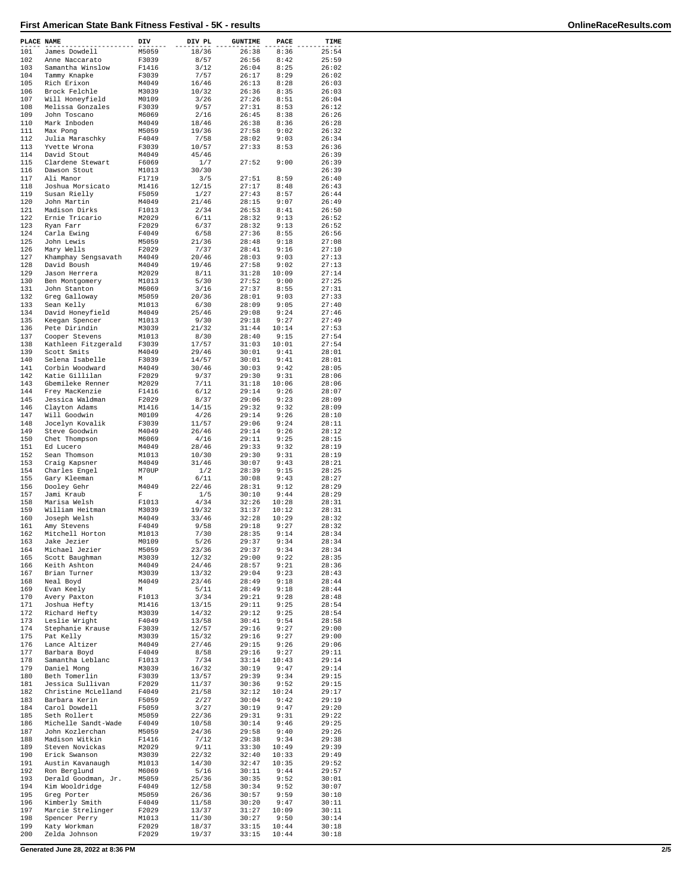| PLACE NAME |                                       | DIV            | DIV PL         | <b>GUNTIME</b> | PACE           | TIME           |
|------------|---------------------------------------|----------------|----------------|----------------|----------------|----------------|
| 101        | James Dowdell                         | M5059          | 18/36          | 26:38          | 8:36           | 25:54          |
| 102        | Anne Naccarato                        | F3039          | 8/57           | 26:56          | 8:42           | 25:59          |
| 103<br>104 | Samantha Winslow<br>Tammy Knapke      | F1416<br>F3039 | 3/12<br>7/57   | 26:04<br>26:17 | 8:25<br>8:29   | 26:02<br>26:02 |
| 105        | Rich Erixon                           | M4049          | 16/46          | 26:13          | 8:28           | 26:03          |
| 106        | Brock Felchle                         | M3039          | 10/32          | 26:36          | 8:35           | 26:03          |
| 107        | Will Honeyfield                       | M0109          | 3/26           | 27:26          | 8:51           | 26:04          |
| 108        | Melissa Gonzales                      | F3039          | 9/57           | 27:31          | 8:53           | 26:12          |
| 109<br>110 | John Toscano<br>Mark Inboden          | M6069<br>M4049 | 2/16<br>18/46  | 26:45<br>26:38 | 8:38<br>8:36   | 26:26<br>26:28 |
| 111        | Max Pong                              | M5059          | 19/36          | 27:58          | 9:02           | 26:32          |
| 112        | Julia Maraschky                       | F4049          | 7/58           | 28:02          | 9:03           | 26:34          |
| 113        | Yvette Wrona                          | F3039          | 10/57          | 27:33          | 8:53           | 26:36          |
| 114        | David Stout                           | M4049          | 45/46          |                |                | 26:39          |
| 115<br>116 | Clardene Stewart<br>Dawson Stout      | F6069<br>M1013 | 1/7<br>30/30   | 27:52          | 9:00           | 26:39<br>26:39 |
| 117        | Ali Manor                             | F1719          | 3/5            | 27:51          | 8:59           | 26:40          |
| 118        | Joshua Morsicato                      | M1416          | 12/15          | 27:17          | 8:48           | 26:43          |
| 119        | Susan Rielly                          | F5059          | 1/27           | 27:43          | 8:57           | 26:44          |
| 120        | John Martin                           | M4049          | 21/46          | 28:15          | 9:07           | 26:49          |
| 121        | Madison Dirks                         | F1013          | 2/34           | 26:53          | 8:41           | 26:50          |
| 122<br>123 | Ernie Tricario<br>Ryan Farr           | M2029<br>F2029 | 6/11<br>6/37   | 28:32<br>28:32 | 9:13<br>9:13   | 26:52<br>26:52 |
| 124        | Carla Ewing                           | F4049          | 6/58           | 27:36          | 8:55           | 26:56          |
| 125        | John Lewis                            | M5059          | 21/36          | 28:48          | 9:18           | 27:08          |
| 126        | Mary Wells                            | F2029          | 7/37           | 28:41          | 9:16           | 27:10          |
| 127        | Khamphay Sengsavath                   | M4049          | 20/46          | 28:03          | 9:03           | 27:13          |
| 128        | David Boush                           | M4049          | 19/46          | 27:58          | 9:02           | 27:13          |
| 129<br>130 | Jason Herrera<br>Ben Montgomery       | M2029<br>M1013 | 8/11<br>5/30   | 31:28<br>27:52 | 10:09<br>9:00  | 27:14<br>27:25 |
| 131        | John Stanton                          | M6069          | 3/16           | 27:37          | 8:55           | 27:31          |
| 132        | Greg Galloway                         | M5059          | 20/36          | 28:01          | 9:03           | 27:33          |
| 133        | Sean Kelly                            | M1013          | 6/30           | 28:09          | 9:05           | 27:40          |
| 134        | David Honeyfield                      | M4049          | 25/46          | 29:08          | 9:24           | 27:46          |
| 135<br>136 | Keegan Spencer<br>Pete Dirindin       | M1013<br>M3039 | 9/30<br>21/32  | 29:18          | 9:27<br>10:14  | 27:49          |
| 137        | Cooper Stevens                        | M1013          | 8/30           | 31:44<br>28:40 | 9:15           | 27:53<br>27:54 |
| 138        | Kathleen Fitzgerald                   | F3039          | 17/57          | 31:03          | 10:01          | 27:54          |
| 139        | Scott Smits                           | M4049          | 29/46          | 30:01          | 9:41           | 28:01          |
| 140        | Selena Isabelle                       | F3039          | 14/57          | 30:01          | 9:41           | 28:01          |
| 141        | Corbin Woodward                       | M4049          | 30/46          | 30:03          | 9:42           | 28:05          |
| 142<br>143 | Katie Gillilan<br>Gbemileke Renner    | F2029<br>M2029 | 9/37<br>7/11   | 29:30<br>31:18 | 9:31<br>10:06  | 28:06<br>28:06 |
| 144        | Frey MacKenzie                        | F1416          | 6/12           | 29:14          | 9:26           | 28:07          |
| 145        | Jessica Waldman                       | F2029          | 8/37           | 29:06          | 9:23           | 28:09          |
| 146        | Clayton Adams                         | M1416          | 14/15          | 29:32          | 9:32           | 28:09          |
| 147        | Will Goodwin                          | M0109          | 4/26           | 29:14          | 9:26           | 28:10          |
| 148        | Jocelyn Kovalik                       | F3039          | 11/57          | 29:06          | 9:24           | 28:11          |
| 149<br>150 | Steve Goodwin<br>Chet Thompson        | M4049<br>M6069 | 26/46<br>4/16  | 29:14<br>29:11 | 9:26<br>9:25   | 28:12<br>28:15 |
| 151        | Ed Lucero                             | M4049          | 28/46          | 29:33          | 9:32           | 28:19          |
| 152        | Sean Thomson                          | M1013          | 10/30          | 29:30          | 9:31           | 28:19          |
| 153        | Craig Kapsner                         | M4049          | 31/46          | 30:07          | 9:43           | 28:21          |
| 154        | Charles Engel                         | M70UP          | 1/2            | 28:39          | 9:15           | 28:25          |
| 155<br>156 | Gary Kleeman<br>Dooley Gehr           | М<br>M4049     | 6/11<br>22/46  | 30:08<br>28:31 | 9:43<br>9:12   | 28:27<br>28:29 |
| 157        | Jami Kraub                            | F              | 1/5            | 30:10          | 9:44           | 28:29          |
| 158        | Marisa Welsh                          | F1013          | 4/34           | 32:26          | 10:28          | 28:31          |
| 159        | William Heitman                       | M3039          | 19/32          | 31:37          | 10:12          | 28:31          |
| 160        | Joseph Welsh                          | M4049          | 33/46          | 32:28          | 10:29          | 28:32          |
| 161<br>162 | Amy Stevens<br>Mitchell Horton        | F4049<br>M1013 | 9/58<br>7/30   | 29:18<br>28:35 | 9:27<br>9:14   | 28:32<br>28:34 |
| 163        | Jake Jezier                           | M0109          | 5/26           | 29:37          | 9:34           | 28:34          |
| 164        | Michael Jezier                        | M5059          | 23/36          | 29:37          | 9:34           | 28:34          |
| 165        | Scott Baughman                        | M3039          | 12/32          | 29:00          | 9:22           | 28:35          |
| 166        | Keith Ashton                          | M4049          | 24/46          | 28:57          | 9:21           | 28:36          |
| 167        | Brian Turner<br>Neal Boyd             | M3039          | 13/32          | 29:04<br>28:49 | 9:23           | 28:43<br>28:44 |
| 168<br>169 | Evan Keely                            | M4049<br>М     | 23/46<br>5/11  | 28:49          | 9:18<br>9:18   | 28:44          |
| 170        | Avery Paxton                          | F1013          | 3/34           | 29:21          | 9:28           | 28:48          |
| 171        | Joshua Hefty                          | M1416          | 13/15          | 29:11          | 9:25           | 28:54          |
| 172        | Richard Hefty                         | M3039          | 14/32          | 29:12          | 9:25           | 28:54          |
| 173<br>174 | Leslie Wright                         | F4049<br>F3039 | 13/58          | 30:41          | 9:54           | 28:58<br>29:00 |
| 175        | Stephanie Krause<br>Pat Kelly         | M3039          | 12/57<br>15/32 | 29:16<br>29:16 | 9:27<br>9:27   | 29:00          |
| 176        | Lance Altizer                         | M4049          | 27/46          | 29:15          | 9:26           | 29:06          |
| 177        | Barbara Boyd                          | F4049          | 8/58           | 29:16          | 9:27           | 29:11          |
| 178        | Samantha Leblanc                      | F1013          | 7/34           | 33:14          | 10:43          | 29:14          |
| 179        | Daniel Mong                           | M3039          | 16/32          | 30:19          | 9:47           | 29:14          |
| 180<br>181 | Beth Tomerlin<br>Jessica Sullivan     | F3039<br>F2029 | 13/57<br>11/37 | 29:39<br>30:36 | 9:34<br>9:52   | 29:15<br>29:15 |
| 182        | Christine McLelland                   | F4049          | 21/58          | 32:12          | 10:24          | 29:17          |
| 183        | Barbara Kerin                         | F5059          | 2/27           | 30:04          | 9:42           | 29:19          |
| 184        | Carol Dowdell                         | F5059          | 3/27           | 30:19          | 9:47           | 29:20          |
| 185        | Seth Rollert                          | M5059          | 22/36          | 29:31          | 9:31           | 29:22          |
| 186        | Michelle Sandt-Wade                   | F4049          | 10/58          | 30:14          | 9:46           | 29:25          |
| 187<br>188 | John Kozlerchan<br>Madison Witkin     | M5059<br>F1416 | 24/36<br>7/12  | 29:58<br>29:38 | 9:40<br>9:34   | 29:26<br>29:38 |
| 189        | Steven Novickas                       | M2029          | 9/11           | 33:30          | 10:49          | 29:39          |
| 190        | Erick Swanson                         | M3039          | 22/32          | 32:40          | 10:33          | 29:49          |
| 191        | Austin Kavanaugh                      | M1013          | 14/30          | 32:47          | 10:35          | 29:52          |
| 192        | Ron Berglund                          | M6069          | 5/16           | 30:11          | 9:44           | 29:57          |
| 193<br>194 | Derald Goodman, Jr.<br>Kim Wooldridge | M5059<br>F4049 | 25/36<br>12/58 | 30:35<br>30:34 | 9:52<br>9:52   | 30:01<br>30:07 |
| 195        | Greg Porter                           | M5059          | 26/36          | 30:57          | 9:59           | 30:10          |
| 196        | Kimberly Smith                        | F4049          | 11/58          | 30:20          | 9:47           | 30:11          |
| 197        | Marcie Strelinger                     | F2029          | 13/37          | 31:27          | 10:09          | 30:11          |
| 198        | Spencer Perry                         | M1013          | 11/30          | 30:27          | 9:50           | 30:14          |
| 199<br>200 | Katy Workman                          | F2029<br>F2029 | 18/37<br>19/37 | 33:15<br>33:15 | 10:44<br>10:44 | 30:18<br>30:18 |
|            | Zelda Johnson                         |                |                |                |                |                |

**Generated June 28, 2022 at 8:36 PM 2/5**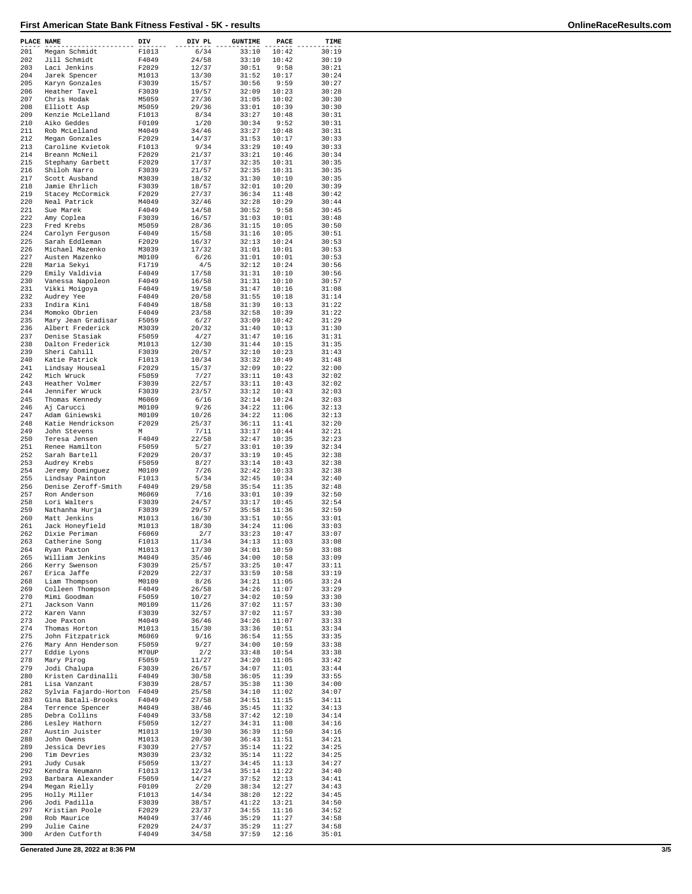| PLACE NAME |                                        | DIV            | DIV PL         | <b>GUNTIME</b> | PACE           | TIME           |
|------------|----------------------------------------|----------------|----------------|----------------|----------------|----------------|
| 201        | Megan Schmidt                          | F1013          | 6/34           | 33:10          | 10:42          | 30:19          |
| 202        | Jill Schmidt                           | F4049          | 24/58          | 33:10          | 10:42          | 30:19          |
| 203        | Laci Jenkins                           | F2029          | 12/37          | 30:51          | 9:58           | 30:21          |
| 204<br>205 | Jarek Spencer                          | M1013<br>F3039 | 13/30<br>15/57 | 31:52<br>30:56 | 10:17<br>9:59  | 30:24<br>30:27 |
| 206        | Karyn Gonzales<br>Heather Tavel        | F3039          | 19/57          | 32:09          | 10:23          | 30:28          |
| 207        | Chris Hodak                            | M5059          | 27/36          | 31:05          | 10:02          | 30:30          |
| 208        | Elliott Asp                            | M5059          | 29/36          | 33:01          | 10:39          | 30:30          |
| 209        | Kenzie McLelland                       | F1013          | 8/34           | 33:27          | 10:48          | 30:31          |
| 210        | Aiko Geddes                            | F0109          | 1/20           | 30:34          | 9:52           | 30:31          |
| 211        | Rob McLelland                          | M4049          | 34/46          | 33:27          | 10:48          | 30:31          |
| 212        | Megan Gonzales                         | F2029          | 14/37          | 31:53          | 10:17          | 30:33          |
| 213        | Caroline Kvietok                       | F1013          | 9/34           | 33:29          | 10:49          | 30:33          |
| 214        | Breann McNeil                          | F2029          | 21/37          | 33:21          | 10:46          | 30:34          |
| 215        | Stephany Garbett                       | F2029          | 17/37          | 32:35          | 10:31          | 30:35          |
| 216        | Shiloh Narro                           | F3039          | 21/57          | 32:35          | 10:31          | 30:35          |
| 217<br>218 | Scott Ausband<br>Jamie Ehrlich         | M3039<br>F3039 | 18/32<br>18/57 | 31:30<br>32:01 | 10:10<br>10:20 | 30:35<br>30:39 |
| 219        | Stacey McCormick                       |                | 27/37          | 36:34          | 11:48          | 30:42          |
| 220        | Neal Patrick                           | F2029<br>M4049 | 32/46          | 32:28          | 10:29          | 30:44          |
| 221        | Sue Marek                              | F4049          | 14/58          | 30:52          | 9:58           | 30:45          |
| 222        | Amy Coplea                             | F3039          | 16/57          | 31:03          | 10:01          | 30:48          |
| 223        | Fred Krebs                             | M5059          | 28/36          | 31:15          | 10:05          | 30:50          |
| 224        | Carolyn Ferguson                       | F4049          | 15/58          | 31:16          | 10:05          | 30:51          |
| 225        | Sarah Eddleman                         | F2029          | 16/37          | 32:13          | 10:24          | 30:53          |
| 226        | Michael Mazenko                        | M3039          | 17/32          | 31:01          | 10:01          | 30:53          |
| 227        | Austen Mazenko                         | M0109          | 6/26           | 31:01          | 10:01          | 30:53          |
| 228        | Maria Sekyi                            | F1719          | 4/5            | 32:12          | 10:24          | 30:56          |
| 229        | Emily Valdivia                         | F4049          | 17/58          | 31:31          | 10:10          | 30:56          |
| 230        | Vanessa Napoleon                       | F4049          | 16/58          | 31:31          | 10:10          | 30:57          |
| 231        | Vikki Moigoya                          | F4049          | 19/58          | 31:47          | 10:16          | 31:08          |
| 232        | Audrey Yee                             | F4049          | 20/58          | 31:55          | 10:18          | 31:14          |
| 233        | Indira Kini                            | F4049          | 18/58          | 31:39          | 10:13          | 31:22          |
| 234        | Momoko Obrien                          | F4049          | 23/58          | 32:58          | 10:39          | 31:22<br>31:29 |
| 235<br>236 | Mary Jean Gradisar<br>Albert Frederick | F5059<br>M3039 | 6/27<br>20/32  | 33:09<br>31:40 | 10:42<br>10:13 | 31:30          |
| 237        | Denise Stasiak                         | F5059          | 4/27           | 31:47          | 10:16          | 31:31          |
| 238        | Dalton Frederick                       | M1013          | 12/30          | 31:44          | 10:15          | 31:35          |
| 239        | Sheri Cahill                           | F3039          | 20/57          | 32:10          | 10:23          | 31:43          |
| 240        | Katie Patrick                          | F1013          | 10/34          | 33:32          | 10:49          | 31:48          |
| 241        | Lindsay Houseal                        | F2029          | 15/37          | 32:09          | 10:22          | 32:00          |
| 242        | Mich Wruck                             | F5059          | 7/27           | 33:11          | 10:43          | 32:02          |
| 243        | Heather Volmer                         | F3039          | 22/57          | 33:11          | 10:43          | 32:02          |
| 244        | Jennifer Wruck                         | F3039          | 23/57          | 33:12          | 10:43          | 32:03          |
| 245        | Thomas Kennedy                         | M6069          | 6/16           | 32:14          | 10:24          | 32:03          |
| 246        | Aj Carucci                             | M0109          | 9/26           | 34:22          | 11:06          | 32:13          |
| 247        | Adam Giniewski                         | M0109          | 10/26          | 34:22          | 11:06          | 32:13          |
| 248        | Katie Hendrickson                      | F2029          | 25/37          | 36:11          | 11:41          | 32:20          |
| 249        | John Stevens                           | М              | 7/11           | 33:17          | 10:44          | 32:21          |
| 250<br>251 | Teresa Jensen<br>Renee Hamilton        | F4049<br>F5059 | 22/58<br>5/27  | 32:47<br>33:01 | 10:35<br>10:39 | 32:23<br>32:34 |
| 252        | Sarah Bartell                          | F2029          | 20/37          | 33:19          | 10:45          | 32:38          |
| 253        | Audrey Krebs                           | F5059          | 8/27           | 33:14          | 10:43          | 32:38          |
| 254        | Jeremy Dominguez                       | M0109          | 7/26           | 32:42          | 10:33          | 32:38          |
| 255        | Lindsay Painton                        | F1013          | 5/34           | 32:45          | 10:34          | 32:40          |
| 256        | Denise Zeroff-Smith                    | F4049          | 29/58          | 35:54          | 11:35          | 32:48          |
| 257        | Ron Anderson                           | M6069          | 7/16           | 33:01          | 10:39          | 32:50          |
| 258        | Lori Walters                           | F3039          | 24/57          | 33:17          | 10:45          | 32:54          |
| 259        | Nathanha Hurja                         | F3039          | 29/57          | 35:58          | 11:36          | 32:59          |
| 260        | Matt Jenkins                           | M1013          | 16/30          | 33:51          | 10:55          | 33:01          |
| 261        | Jack Honeyfield                        | M1013          | 18/30          | 34:24          | 11:06          | 33:03          |
| 262        | Dixie Periman<br>Catherine Song        | F6069<br>F1013 | 2/7            | 33:23          | 10:47          | 33:07          |
| 263<br>264 |                                        | M1013          | 11/34<br>17/30 | 34:13<br>34:01 | 11:03<br>10:59 | 33:08<br>33:08 |
| 265        | Ryan Paxton<br>William Jenkins         | M4049          | 35/46          | 34:00          | 10:58          | 33:09          |
| 266        | Kerry Swenson                          | F3039          | 25/57          | 33:25          | 10:47          | 33:11          |
| 267        | Erica Jaffe                            | F2029          | 22/37          | 33:59          | 10:58          | 33:19          |
| 268        | Liam Thompson                          | M0109          | 8/26           | 34:21          | 11:05          | 33:24          |
| 269        | Colleen Thompson                       | F4049          | 26/58          | 34:26          | 11:07          | 33:29          |
| 270        | Mimi Goodman                           | F5059          | 10/27          | 34:02          | 10:59          | 33:30          |
| 271        | Jackson Vann                           | M0109          | 11/26          | 37:02          | 11:57          | 33:30          |
| 272        | Karen Vann                             | F3039          | 32/57          | 37:02          | 11:57          | 33:30          |
| 273        | Joe Paxton                             | M4049          | 36/46          | 34:26          | 11:07          | 33:33          |
| 274        | Thomas Horton                          | M1013          | 15/30          | 33:36          | 10:51          | 33:34          |
| 275        | John Fitzpatrick                       | M6069          | 9/16           | 36:54          | 11:55          | 33:35          |
| 276        | Mary Ann Henderson<br>Eddie Lyons      | F5059          | 9/27           | 34:00<br>33:48 | 10:59          | 33:38          |
| 277<br>278 | Mary Pirog                             | M70UP<br>F5059 | 2/2<br>11/27   | 34:20          | 10:54<br>11:05 | 33:38<br>33:42 |
| 279        | Jodi Chalupa                           | F3039          | 26/57          | 34:07          | 11:01          | 33:44          |
| 280        | Kristen Cardinalli                     | F4049          | 30/58          | 36:05          | 11:39          | 33:55          |
| 281        | Lisa Vanzant                           | F3039          | 28/57          | 35:38          | 11:30          | 34:00          |
| 282        | Sylvia Fajardo-Horton                  | F4049          | 25/58          | 34:10          | 11:02          | 34:07          |
| 283        | Gina Batali-Brooks                     | F4049          | 27/58          | 34:51          | 11:15          | 34:11          |
| 284        | Terrence Spencer                       | M4049          | 38/46          | 35:45          | 11:32          | 34:13          |
| 285        | Debra Collins                          | F4049          | 33/58          | 37:42          | 12:10          | 34:14          |
| 286        | Lesley Hathorn                         | F5059          | 12/27          | 34:31          | 11:08          | 34:16          |
| 287        | Austin Juister                         | M1013          | 19/30          | 36:39          | 11:50          | 34:16          |
| 288        | John Owens                             | M1013          | 20/30          | 36:43          | 11:51          | 34:21          |
| 289        | Jessica Devries                        | F3039          | 27/57          | 35:14          | 11:22          | 34:25          |
| 290        | Tim Devries                            | M3039          | 23/32          | 35:14          | 11:22          | 34:25          |
| 291<br>292 | Judy Cusak<br>Kendra Neumann           | F5059<br>F1013 | 13/27<br>12/34 | 34:45<br>35:14 | 11:13<br>11:22 | 34:27<br>34:40 |
| 293        | Barbara Alexander                      | F5059          | 14/27          | 37:52          | 12:13          | 34:41          |
| 294        | Megan Rielly                           | F0109          | 2/20           | 38:34          | 12:27          | 34:43          |
| 295        | Holly Miller                           | F1013          | 14/34          | 38:20          | 12:22          | 34:45          |
| 296        | Jodi Padilla                           | F3039          | 38/57          | 41:22          | 13:21          | 34:50          |
| 297        | Kristian Poole                         | F2029          | 23/37          | 34:55          | 11:16          | 34:52          |
| 298        | Rob Maurice                            | M4049          | 37/46          | 35:29          | 11:27          | 34:58          |
| 299        | Julie Caine                            | F2029          | 24/37          | 35:29          | 11:27          | 34:58          |
| 300        | Arden Cutforth                         | F4049          | 34/58          | 37:59          | 12:16          | 35:01          |

**Generated June 28, 2022 at 8:36 PM 3/5**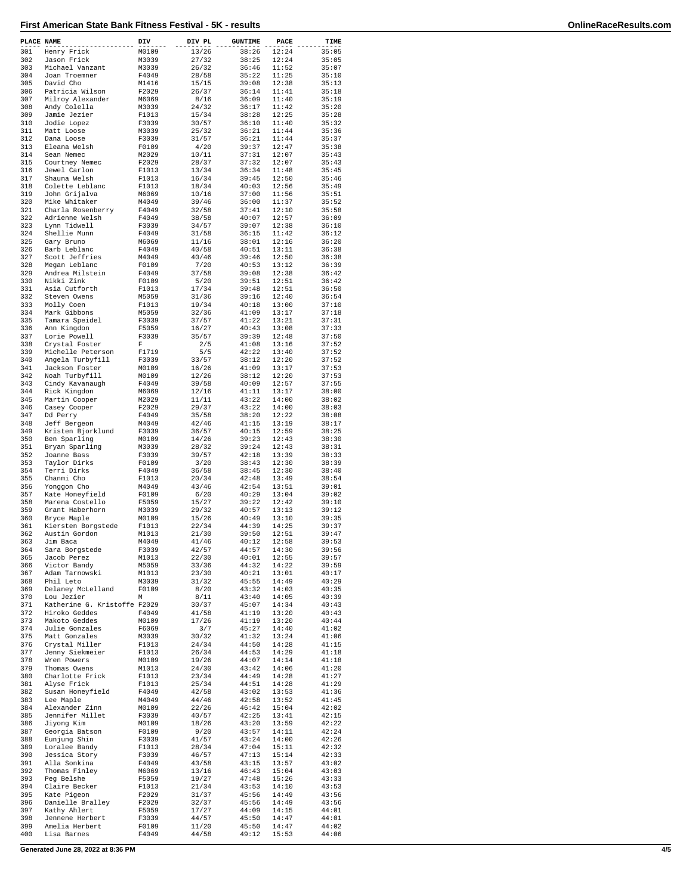| PLACE NAME |                                 | DIV            | DIV PL         | <b>GUNTIME</b> | PACE           | TIME           |
|------------|---------------------------------|----------------|----------------|----------------|----------------|----------------|
| 301        | Henry Frick                     | M0109          | 13/26          | 38:26          | 12:24          | 35:05          |
| 302        | Jason Frick                     | M3039          | 27/32          | 38:25          | 12:24          | 35:05          |
| 303        | Michael Vanzant                 | M3039          | 26/32          | 36:46          | 11:52          | 35:07          |
| 304<br>305 | Joan Troemner<br>David Cho      | F4049<br>M1416 | 28/58          | 35:22<br>39:08 | 11:25<br>12:38 | 35:10          |
| 306        | Patricia Wilson                 | F2029          | 15/15<br>26/37 | 36:14          | 11:41          | 35:13<br>35:18 |
| 307        | Milroy Alexander                | M6069          | 8/16           | 36:09          | 11:40          | 35:19          |
| 308        | Andy Colella                    | M3039          | 24/32          | 36:17          | 11:42          | 35:20          |
| 309        | Jamie Jezier                    | F1013          | 15/34          | 38:28          | 12:25          | 35:28          |
| 310        | Jodie Lopez                     | F3039          | 30/57          | 36:10          | 11:40          | 35:32          |
| 311        | Matt Loose                      | M3039          | 25/32          | 36:21          | 11:44          | 35:36          |
| 312        | Dana Loose                      | F3039          | 31/57          | 36:21          | 11:44          | 35:37          |
| 313        | Eleana Welsh                    | F0109          | 4/20           | 39:37          | 12:47          | 35:38          |
| 314        | Sean Nemec                      | M2029          | 10/11          | 37:31          | 12:07<br>12:07 | 35:43          |
| 315<br>316 | Courtney Nemec<br>Jewel Carlon  | F2029<br>F1013 | 28/37<br>13/34 | 37:32<br>36:34 | 11:48          | 35:43<br>35:45 |
| 317        | Shauna Welsh                    | F1013          | 16/34          | 39:45          | 12:50          | 35:46          |
| 318        | Colette Leblanc                 | F1013          | 18/34          | 40:03          | 12:56          | 35:49          |
| 319        | John Grijalva                   | M6069          | 10/16          | 37:00          | 11:56          | 35:51          |
| 320        | Mike Whitaker                   | M4049          | 39/46          | 36:00          | 11:37          | 35:52          |
| 321        | Charla Rosenberry               | F4049          | 32/58          | 37:41          | 12:10          | 35:58          |
| 322        | Adrienne Welsh                  | F4049          | 38/58          | 40:07          | 12:57          | 36:09          |
| 323        | Lynn Tidwell                    | F3039          | 34/57          | 39:07          | 12:38          | 36:10          |
| 324        | Shellie Munn                    | F4049          | 31/58          | 36:15          | 11:42          | 36:12          |
| 325        | Gary Bruno                      | M6069          | 11/16          | 38:01          | 12:16          | 36:20          |
| 326        | Barb Leblanc                    | F4049          | 40/58          | 40:51          | 13:11          | 36:38          |
| 327<br>328 | Scott Jeffries<br>Megan Leblanc | M4049<br>F0109 | 40/46<br>7/20  | 39:46<br>40:53 | 12:50<br>13:12 | 36:38<br>36:39 |
| 329        | Andrea Milstein                 | F4049          | 37/58          | 39:08          | 12:38          | 36:42          |
| 330        | Nikki Zink                      | F0109          | 5/20           | 39:51          | 12:51          | 36:42          |
| 331        | Asia Cutforth                   | F1013          | 17/34          | 39:48          | 12:51          | 36:50          |
| 332        | Steven Owens                    | M5059          | 31/36          | 39:16          | 12:40          | 36:54          |
| 333        | Molly Coen                      | F1013          | 19/34          | 40:18          | 13:00          | 37:10          |
| 334        | Mark Gibbons                    | M5059          | 32/36          | 41:09          | 13:17          | 37:18          |
| 335        | Tamara Speidel                  | F3039          | 37/57          | 41:22          | 13:21          | 37:31          |
| 336        | Ann Kingdon                     | F5059          | 16/27          | 40:43          | 13:08          | 37:33          |
| 337        | Lorie Powell                    | F3039          | 35/57          | 39:39          | 12:48          | 37:50          |
| 338        | Crystal Foster                  | F              | 2/5            | 41:08          | 13:16          | 37:52          |
| 339        | Michelle Peterson               | F1719          | 5/5            | 42:22          | 13:40          | 37:52          |
| 340        | Angela Turbyfill                | F3039          | 33/57          | 38:12          | 12:20          | 37:52          |
| 341        | Jackson Foster                  | M0109          | 16/26          | 41:09          | 13:17          | 37:53          |
| 342        | Noah Turbyfill                  | M0109          | 12/26          | 38:12          | 12:20          | 37:53          |
| 343        | Cindy Kavanaugh                 | F4049          | 39/58          | 40:09          | 12:57          | 37:55          |
| 344        | Rick Kingdon                    | M6069          | 12/16          | 41:11          | 13:17          | 38:00          |
| 345<br>346 | Martin Cooper                   | M2029          | 11/11          | 43:22          | 14:00          | 38:02          |
| 347        | Casey Cooper                    | F2029<br>F4049 | 29/37<br>35/58 | 43:22<br>38:20 | 14:00<br>12:22 | 38:03<br>38:08 |
| 348        | Dd Perry<br>Jeff Bergeon        | M4049          | 42/46          | 41:15          | 13:19          | 38:17          |
| 349        | Kristen Bjorklund               | F3039          | 36/57          | 40:15          | 12:59          | 38:25          |
| 350        | Ben Sparling                    | M0109          | 14/26          | 39:23          | 12:43          | 38:30          |
| 351        | Bryan Sparling                  | M3039          | 28/32          | 39:24          | 12:43          | 38:31          |
| 352        | Joanne Bass                     | F3039          | 39/57          | 42:18          | 13:39          | 38:33          |
| 353        | Taylor Dirks                    | F0109          | 3/20           | 38:43          | 12:30          | 38:39          |
| 354        | Terri Dirks                     | F4049          | 36/58          | 38:45          | 12:30          | 38:40          |
| 355        | Chanmi Cho                      | F1013          | 20/34          | 42:48          | 13:49          | 38:54          |
| 356        | Yonggon Cho                     | M4049          | 43/46          | 42:54          | 13:51          | 39:01          |
| 357        | Kate Honeyfield                 | F0109          | 6/20           | 40:29          | 13:04          | 39:02          |
| 358        | Marena Costello                 | F5059          | 15/27          | 39:22          | 12:42          | 39:10          |
| 359        | Grant Haberhorn                 | M3039          | 29/32          | 40:57          | 13:13          | 39:12          |
| 360        | Bryce Maple                     | M0109          | 15/26          | 40:49          | 13:10          | 39:35          |
| 361        | Kiersten Borgstede              | F1013          | 22/34          | 44:39          | 14:25          | 39:37          |
| 362        | Austin Gordon                   | M1013          | 21/30          | 39:50          | 12:51          | 39:47          |
| 363        | Jim Baca                        | M4049          | 41/46          | 40:12<br>44:57 | 12:58          | 39:53<br>39:56 |
| 364<br>365 | Sara Borgstede<br>Jacob Perez   | F3039<br>M1013 | 42/57<br>22/30 | 40:01          | 14:30<br>12:55 | 39:57          |
| 366        | Victor Bandy                    | M5059          | 33/36          | 44:32          | 14:22          | 39:59          |
| 367        | Adam Tarnowski                  | M1013          | 23/30          | 40:21          | 13:01          | 40:17          |
| 368        | Phil Leto                       | M3039          | 31/32          | 45:55          | 14:49          | 40:29          |
| 369        | Delaney McLelland               | F0109          | 8/20           | 43:32          | 14:03          | 40:35          |
| 370        | Lou Jezier                      | М              | 8/11           | 43:40          | 14:05          | 40:39          |
| 371        | Katherine G. Kristoffe F2029    |                | 30/37          | 45:07          | 14:34          | 40:43          |
| 372        | Hiroko Geddes                   | F4049          | 41/58          | 41:19          | 13:20          | 40:43          |
| 373        | Makoto Geddes                   | M0109          | 17/26          | 41:19          | 13:20          | 40:44          |
| 374        | Julie Gonzales                  | F6069          | 3/7            | 45:27          | 14:40          | 41:02          |
| 375        | Matt Gonzales                   | M3039          | 30/32          | 41:32          | 13:24          | 41:06          |
| 376        | Crystal Miller                  | F1013          | 24/34          | 44:50          | 14:28          | 41:15          |
| 377        | Jenny Siekmeier                 | F1013          | 26/34          | 44:53          | 14:29          | 41:18          |
| 378        | Wren Powers                     | M0109          | 19/26          | 44:07          | 14:14          | 41:18          |
| 379        | Thomas Owens                    | M1013<br>F1013 | 24/30          | 43:42<br>44:49 | 14:06          | 41:20          |
| 380<br>381 | Charlotte Frick<br>Alyse Frick  | F1013          | 23/34<br>25/34 | 44:51          | 14:28<br>14:28 | 41:27<br>41:29 |
| 382        | Susan Honeyfield                | F4049          | 42/58          | 43:02          | 13:53          | 41:36          |
| 383        | Lee Maple                       | M4049          | 44/46          | 42:58          | 13:52          | 41:45          |
| 384        | Alexander Zinn                  | M0109          | 22/26          | 46:42          | 15:04          | 42:02          |
| 385        | Jennifer Millet                 | F3039          | 40/57          | 42:25          | 13:41          | 42:15          |
| 386        | Jiyong Kim                      | M0109          | 18/26          | 43:20          | 13:59          | 42:22          |
| 387        | Georgia Batson                  | F0109          | 9/20           | 43:57          | 14:11          | 42:24          |
| 388        | Eunjung Shin                    | F3039          | 41/57          | 43:24          | 14:00          | 42:26          |
| 389        | Loralee Bandy                   | F1013          | 28/34          | 47:04          | 15:11          | 42:32          |
| 390        | Jessica Story                   | F3039          | 46/57          | 47:13          | 15:14          | 42:33          |
| 391        | Alla Sonkina                    | F4049          | 43/58          | 43:15          | 13:57          | 43:02          |
| 392        | Thomas Finley                   | M6069          | 13/16          | 46:43          | 15:04          | 43:03          |
| 393        | Peg Belshe                      | F5059          | 19/27          | 47:48          | 15:26          | 43:33          |
| 394        | Claire Becker                   | F1013          | 21/34          | 43:53          | 14:10          | 43:53          |
| 395        | Kate Pigeon                     | F2029          | 31/37          | 45:56          | 14:49          | 43:56          |
| 396        | Danielle Bralley                | F2029          | 32/37          | 45:56          | 14:49          | 43:56          |
| 397<br>398 | Kathy Ahlert<br>Jennene Herbert | F5059<br>F3039 | 17/27<br>44/57 | 44:09<br>45:50 | 14:15<br>14:47 | 44:01<br>44:01 |
| 399        | Amelia Herbert                  | F0109          | 11/20          | 45:50          | 14:47          | 44:02          |
| 400        | Lisa Barnes                     | F4049          | 44/58          | 49:12          | 15:53          | 44:06          |
|            |                                 |                |                |                |                |                |